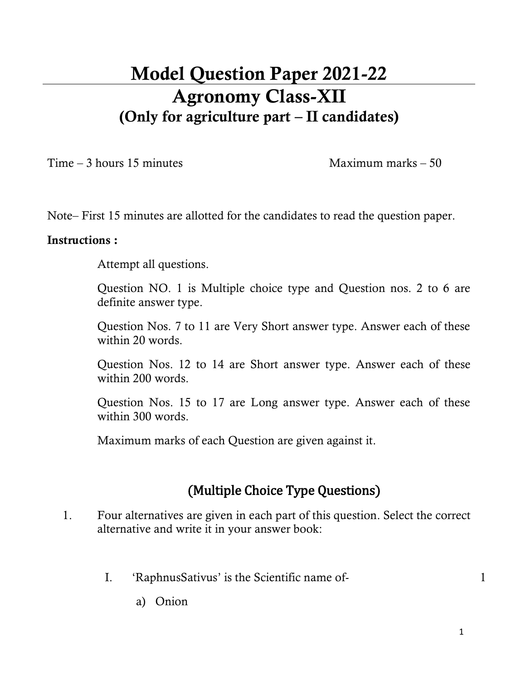# **Model Question Paper 2021-22 Agronomy Class-XII (Only for agriculture part – II candidates)**

 $Time - 3 hours 15 minutes$  Maximum marks – 50

Note– First 15 minutes are allotted for the candidates to read the question paper.

#### **Instructions :**

Attempt all questions.

Question NO. 1 is Multiple choice type and Question nos. 2 to 6 are definite answer type.

Question Nos. 7 to 11 are Very Short answer type. Answer each of these within 20 words.

Question Nos. 12 to 14 are Short answer type. Answer each of these within 200 words.

Question Nos. 15 to 17 are Long answer type. Answer each of these within 300 words.

Maximum marks of each Question are given against it.

### **(Multiple Choice Type Questions)**

- 1. Four alternatives are given in each part of this question. Select the correct alternative and write it in your answer book:
	- I. 'RaphnusSativus' is the Scientific name of- 1

a) Onion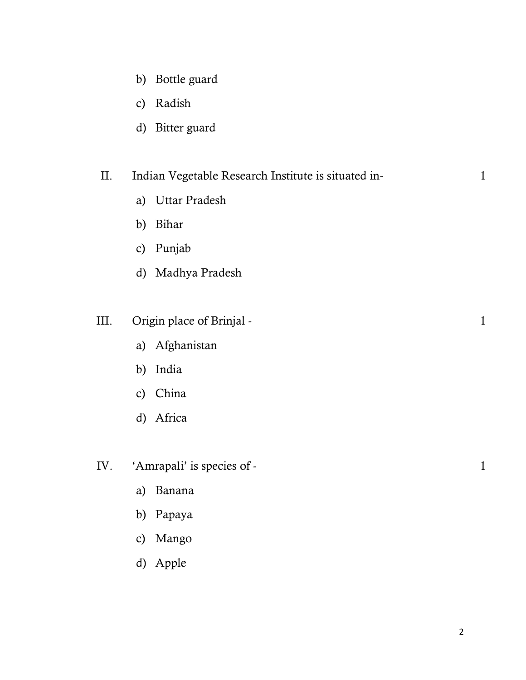- b) Bottle guard
- c) Radish
- d) Bitter guard

#### II. Indian Vegetable Research Institute is situated in- 1

- a) Uttar Pradesh
- b) Bihar
- c) Punjab
- d) Madhya Pradesh

#### III. Origin place of Brinjal - 1

- a) Afghanistan
- b) India
- c) China
- d) Africa
- IV. 'Amrapali' is species of 1
	- a) Banana
	- b) Papaya
	- c) Mango
	- d) Apple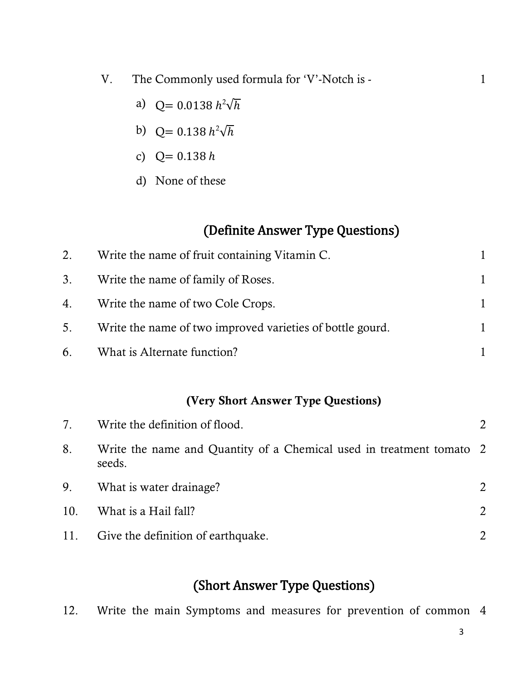- V. The Commonly used formula for 'V'-Notch is 1
	- a)  $Q = 0.0138 h^2 \sqrt{h}$
	- b)  $Q = 0.138 h^2 \sqrt{h}$
	- c)  $Q = 0.138 h$
	- d) None of these

### **(Definite Answer Type Questions)**

| 2. | Write the name of fruit containing Vitamin C.             |   |
|----|-----------------------------------------------------------|---|
|    | 3. Write the name of family of Roses.                     |   |
|    | 4. Write the name of two Cole Crops.                      |   |
| 5. | Write the name of two improved varieties of bottle gourd. | 1 |
|    | 6. What is Alternate function?                            |   |

#### **(Very Short Answer Type Questions)**

| 7.  | Write the definition of flood.                                                 |               |
|-----|--------------------------------------------------------------------------------|---------------|
| 8.  | Write the name and Quantity of a Chemical used in treatment tomato 2<br>seeds. |               |
| 9.  | What is water drainage?                                                        | 2             |
| 10. | What is a Hail fall?                                                           | $\mathcal{L}$ |
| 11. | Give the definition of earthquake.                                             |               |

## **(Short Answer Type Questions)**

12. Write the main Symptoms and measures for prevention of common 4

3